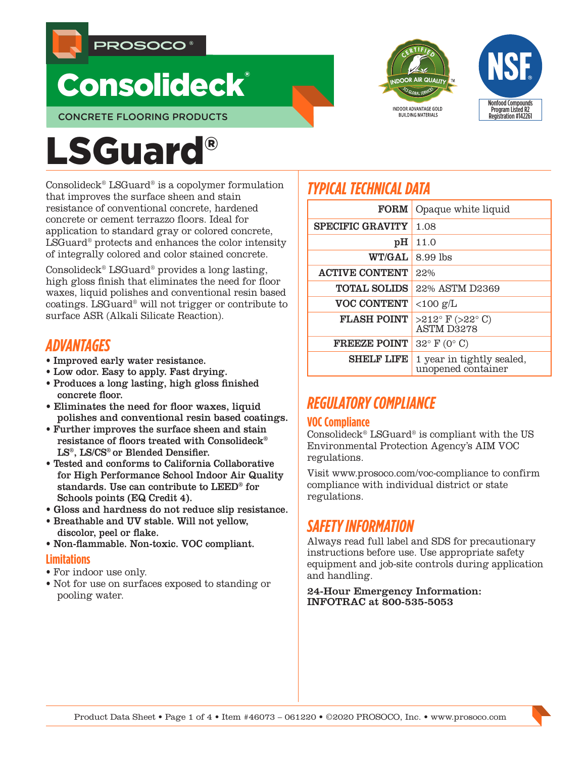

# **Consolideck®**





Consolideck® LSGuard® is a copolymer formulation that improves the surface sheen and stain resistance of conventional concrete, hardened concrete or cement terrazzo floors. Ideal for application to standard gray or colored concrete, LSGuard® protects and enhances the color intensity of integrally colored and color stained concrete.

Consolideck® LSGuard® provides a long lasting, high gloss finish that eliminates the need for floor waxes, liquid polishes and conventional resin based coatings. LSGuard® will not trigger or contribute to surface ASR (Alkali Silicate Reaction).

# *ADVANTAGES*

- Improved early water resistance.
- Low odor. Easy to apply. Fast drying.
- Produces a long lasting, high gloss finished concrete floor.
- Eliminates the need for floor waxes, liquid polishes and conventional resin based coatings.
- Further improves the surface sheen and stain resistance of floors treated with Consolideck® LS®, LS/CS® or Blended Densifier.
- Tested and conforms to California Collaborative for High Performance School Indoor Air Quality standards. Use can contribute to LEED® for Schools points (EQ Credit 4).
- Gloss and hardness do not reduce slip resistance.
- Breathable and UV stable. Will not yellow, discolor, peel or flake.
- Non-flammable. Non-toxic. VOC compliant.

#### **Limitations**

- For indoor use only.
- Not for use on surfaces exposed to standing or pooling water.

# *TYPICAL TECHNICAL DATA*

| <b>FORM</b>             | Opaque white liquid                                      |
|-------------------------|----------------------------------------------------------|
| <b>SPECIFIC GRAVITY</b> | 1.08                                                     |
| pH                      | 11.0                                                     |
| <b>WT/GAL</b>           | 8.99 lbs                                                 |
| <b>ACTIVE CONTENT</b>   | 22%                                                      |
| <b>TOTAL SOLIDS</b>     | 22% ASTM D2369                                           |
| <b>VOC CONTENT</b>      | $<$ 100 g/L                                              |
| <b>FLASH POINT</b>      | $>212^{\circ}$ F ( $>22^{\circ}$ C)<br><b>ASTM D3278</b> |
| <b>FREEZE POINT</b>     | $32^{\circ}$ F (0° C)                                    |
| <b>SHELF LIFE</b>       | 1 year in tightly sealed,<br>unopened container          |

**INDOOR ADVANTAGE GOLD BUILDING MATERIALS** 

Nonfood Compounds Program Listed R2 Registration #142261

# *REGULATORY COMPLIANCE*

### **VOC Compliance**

Consolideck® LSGuard® is compliant with the US Environmental Protection Agency's AIM VOC regulations.

Visit www.prosoco.com/voc-compliance to confirm compliance with individual district or state regulations.

# *SAFETY INFORMATION*

Always read full label and SDS for precautionary instructions before use. Use appropriate safety equipment and job-site controls during application and handling.

24-Hour Emergency Information: INFOTRAC at 800-535-5053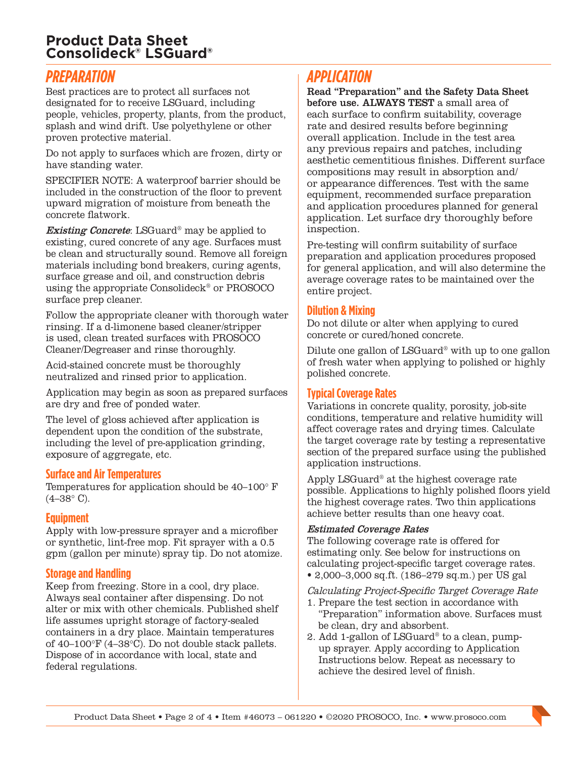## **Product Data Sheet Consolideck® LSGuard®**

# *PREPARATION*

Best practices are to protect all surfaces not designated for to receive LSGuard, including people, vehicles, property, plants, from the product, splash and wind drift. Use polyethylene or other proven protective material.

Do not apply to surfaces which are frozen, dirty or have standing water.

SPECIFIER NOTE: A waterproof barrier should be included in the construction of the floor to prevent upward migration of moisture from beneath the concrete flatwork.

**Existing Concrete:** LSGuard<sup>®</sup> may be applied to existing, cured concrete of any age. Surfaces must be clean and structurally sound. Remove all foreign materials including bond breakers, curing agents, surface grease and oil, and construction debris using the appropriate Consolideck® or PROSOCO surface prep cleaner.

Follow the appropriate cleaner with thorough water rinsing. If a d-limonene based cleaner/stripper is used, clean treated surfaces with PROSOCO Cleaner/Degreaser and rinse thoroughly.

Acid-stained concrete must be thoroughly neutralized and rinsed prior to application.

Application may begin as soon as prepared surfaces are dry and free of ponded water.

The level of gloss achieved after application is dependent upon the condition of the substrate, including the level of pre-application grinding, exposure of aggregate, etc.

#### **Surface and Air Temperatures**

Temperatures for application should be 40–100° F  $(4-38° \text{ C}).$ 

#### **Equipment**

Apply with low-pressure sprayer and a microfiber or synthetic, lint-free mop. Fit sprayer with a 0.5 gpm (gallon per minute) spray tip. Do not atomize.

#### **Storage and Handling**

Keep from freezing. Store in a cool, dry place. Always seal container after dispensing. Do not alter or mix with other chemicals. Published shelf life assumes upright storage of factory-sealed containers in a dry place. Maintain temperatures of 40–100°F (4–38°C). Do not double stack pallets. Dispose of in accordance with local, state and federal regulations.

# *APPLICATION*

Read "Preparation" and the Safety Data Sheet before use. ALWAYS TEST a small area of each surface to confirm suitability, coverage rate and desired results before beginning overall application. Include in the test area any previous repairs and patches, including aesthetic cementitious finishes. Different surface compositions may result in absorption and/ or appearance differences. Test with the same equipment, recommended surface preparation and application procedures planned for general application. Let surface dry thoroughly before inspection.

Pre-testing will confirm suitability of surface preparation and application procedures proposed for general application, and will also determine the average coverage rates to be maintained over the entire project.

#### **Dilution & Mixing**

Do not dilute or alter when applying to cured concrete or cured/honed concrete.

Dilute one gallon of LSGuard® with up to one gallon of fresh water when applying to polished or highly polished concrete.

#### **Typical Coverage Rates**

Variations in concrete quality, porosity, job-site conditions, temperature and relative humidity will affect coverage rates and drying times. Calculate the target coverage rate by testing a representative section of the prepared surface using the published application instructions.

Apply LSGuard® at the highest coverage rate possible. Applications to highly polished floors yield the highest coverage rates. Two thin applications achieve better results than one heavy coat.

#### Estimated Coverage Rates

The following coverage rate is offered for estimating only. See below for instructions on calculating project-specific target coverage rates.

• 2,000–3,000 sq.ft. (186–279 sq.m.) per US gal

#### Calculating Project-Specific Target Coverage Rate

- 1. Prepare the test section in accordance with "Preparation" information above. Surfaces must be clean, dry and absorbent.
- 2. Add 1-gallon of LSGuard® to a clean, pumpup sprayer. Apply according to Application Instructions below. Repeat as necessary to achieve the desired level of finish.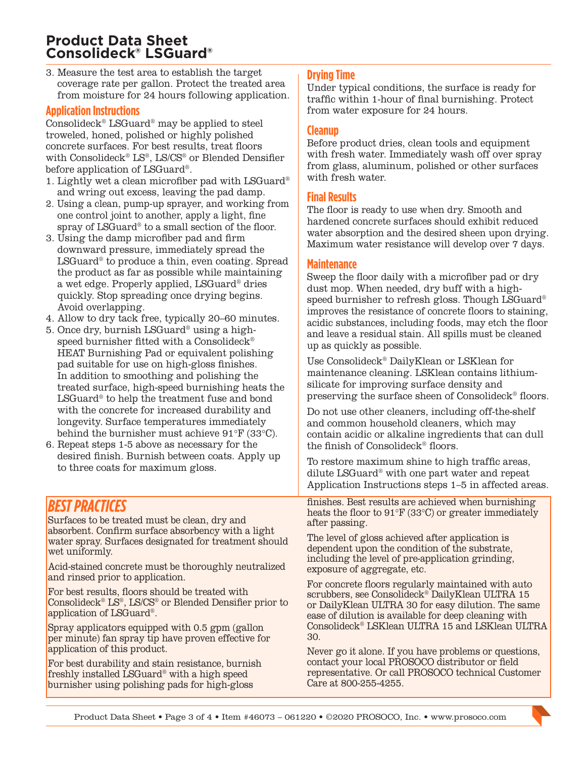## **Product Data Sheet Consolideck® LSGuard®**

3. Measure the test area to establish the target coverage rate per gallon. Protect the treated area from moisture for 24 hours following application.

#### **Application Instructions**

Consolideck® LSGuard® may be applied to steel troweled, honed, polished or highly polished concrete surfaces. For best results, treat floors with Consolideck®  $LS^{\circ}$ , LS/CS® or Blended Densifier before application of LSGuard®.

- 1. Lightly wet a clean microfiber pad with LSGuard® and wring out excess, leaving the pad damp.
- 2. Using a clean, pump-up sprayer, and working from one control joint to another, apply a light, fine spray of LSGuard® to a small section of the floor.
- 3. Using the damp microfiber pad and firm downward pressure, immediately spread the LSGuard® to produce a thin, even coating. Spread the product as far as possible while maintaining a wet edge. Properly applied, LSGuard® dries quickly. Stop spreading once drying begins. Avoid overlapping.
- 4. Allow to dry tack free, typically 20–60 minutes.
- 5. Once dry, burnish LSGuard® using a highspeed burnisher fitted with a Consolideck® HEAT Burnishing Pad or equivalent polishing pad suitable for use on high-gloss finishes. In addition to smoothing and polishing the treated surface, high-speed burnishing heats the LSGuard® to help the treatment fuse and bond with the concrete for increased durability and longevity. Surface temperatures immediately behind the burnisher must achieve 91°F (33°C).
- 6. Repeat steps 1-5 above as necessary for the desired finish. Burnish between coats. Apply up to three coats for maximum gloss.

# *BEST PRACTICES*

Surfaces to be treated must be clean, dry and absorbent. Confirm surface absorbency with a light water spray. Surfaces designated for treatment should wet uniformly.

Acid-stained concrete must be thoroughly neutralized and rinsed prior to application.

For best results, floors should be treated with Consolideck® LS®, LS/CS® or Blended Densifier prior to application of LSGuard®.

Spray applicators equipped with 0.5 gpm (gallon per minute) fan spray tip have proven effective for application of this product.

For best durability and stain resistance, burnish freshly installed LSGuard® with a high speed burnisher using polishing pads for high-gloss

#### **Drying Time**

Under typical conditions, the surface is ready for traffic within 1-hour of final burnishing. Protect from water exposure for 24 hours.

#### **Cleanup**

Before product dries, clean tools and equipment with fresh water. Immediately wash off over spray from glass, aluminum, polished or other surfaces with fresh water.

#### **Final Results**

The floor is ready to use when dry. Smooth and hardened concrete surfaces should exhibit reduced water absorption and the desired sheen upon drying. Maximum water resistance will develop over 7 days.

#### **Maintenance**

Sweep the floor daily with a microfiber pad or dry dust mop. When needed, dry buff with a highspeed burnisher to refresh gloss. Though LSGuard® improves the resistance of concrete floors to staining, acidic substances, including foods, may etch the floor and leave a residual stain. All spills must be cleaned up as quickly as possible.

Use Consolideck® DailyKlean or LSKlean for maintenance cleaning. LSKlean contains lithiumsilicate for improving surface density and preserving the surface sheen of Consolideck® floors.

Do not use other cleaners, including off-the-shelf and common household cleaners, which may contain acidic or alkaline ingredients that can dull the finish of Consolideck® floors.

To restore maximum shine to high traffic areas, dilute LSGuard® with one part water and repeat Application Instructions steps 1–5 in affected areas.

finishes. Best results are achieved when burnishing heats the floor to 91°F (33°C) or greater immediately after passing.

The level of gloss achieved after application is dependent upon the condition of the substrate, including the level of pre-application grinding, exposure of aggregate, etc.

For concrete floors regularly maintained with auto scrubbers, see Consolideck<sup>®</sup> DailyKlean ULTRA 15 or DailyKlean ULTRA 30 for easy dilution. The same ease of dilution is available for deep cleaning with Consolideck® LSKlean ULTRA 15 and LSKlean ULTRA 30.

Never go it alone. If you have problems or questions, contact your local PROSOCO distributor or field representative. Or call PROSOCO technical Customer Care at 800-255-4255.